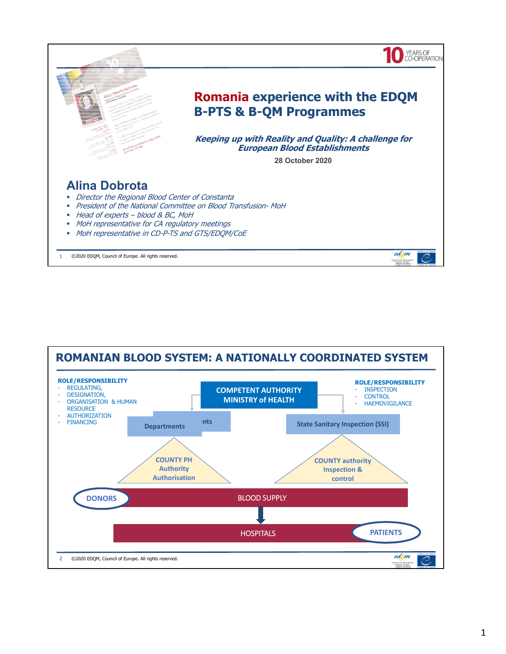

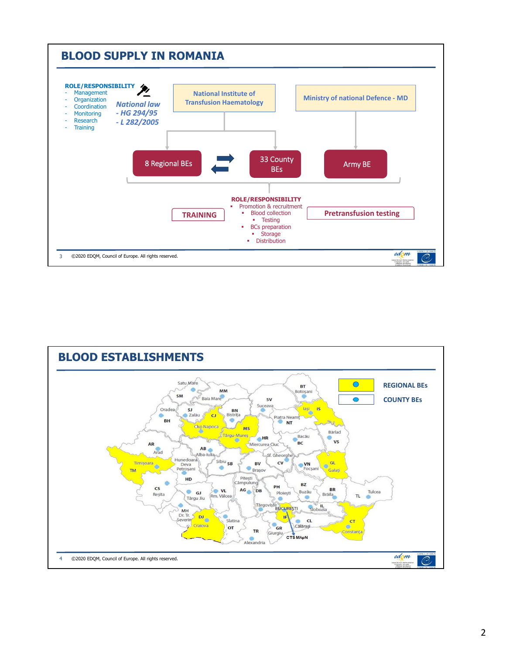

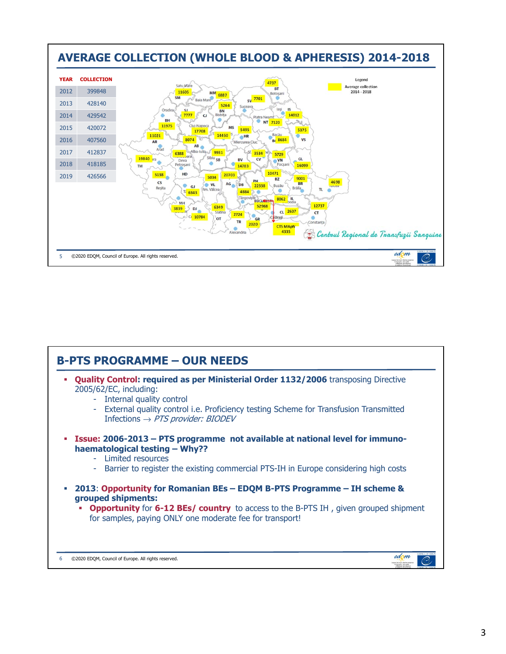

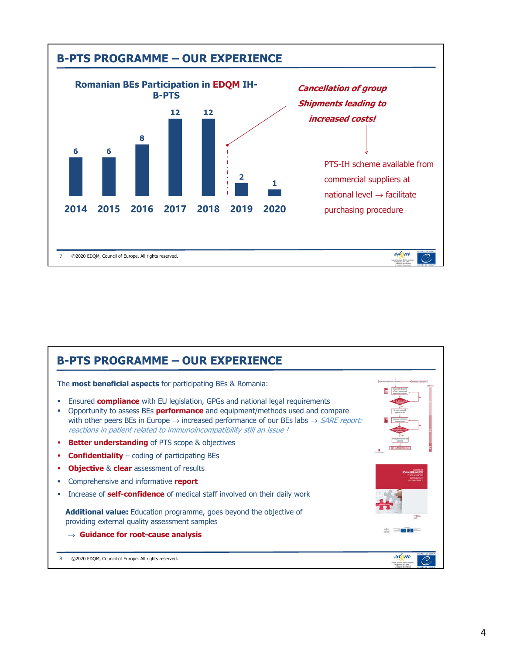